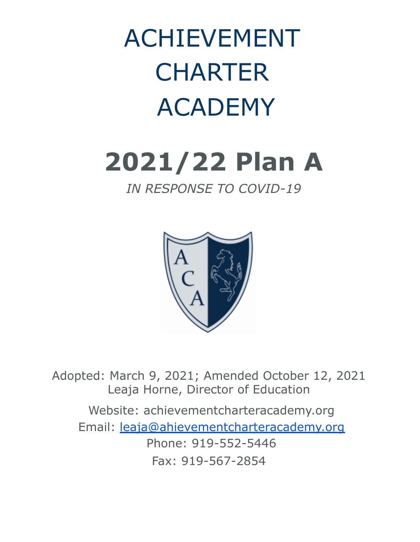ACHIEVEMENT **CHARTER** ACADEMY

# **2021/22 Plan A**

# *IN RESPONSE TO COVID-19*



Adopted: March 9, 2021; Amended October 12, 2021 Leaja Horne, Director of Education

Website: achievementcharteracademy.org Email: leaja@ahievementcharteracademy.org Phone: 919-552-5446 Fax: 919-567-2854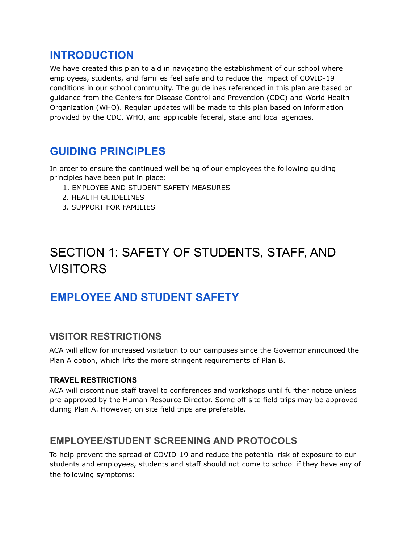## **INTRODUCTION**

We have created this plan to aid in navigating the establishment of our school where employees, students, and families feel safe and to reduce the impact of COVID-19 conditions in our school community. The guidelines referenced in this plan are based on guidance from the Centers for Disease Control and Prevention (CDC) and World Health Organization (WHO). Regular updates will be made to this plan based on information provided by the CDC, WHO, and applicable federal, state and local agencies.

# **GUIDING PRINCIPLES**

In order to ensure the continued well being of our employees the following guiding principles have been put in place:

- 1. EMPLOYEE AND STUDENT SAFETY MEASURES
- 2. HEALTH GUIDELINES
- 3. SUPPORT FOR FAMILIES

# SECTION 1: SAFETY OF STUDENTS, STAFF, AND VISITORS

# **EMPLOYEE AND STUDENT SAFETY**

## **VISITOR RESTRICTIONS**

ACA will allow for increased visitation to our campuses since the Governor announced the Plan A option, which lifts the more stringent requirements of Plan B.

#### **TRAVEL RESTRICTIONS**

ACA will discontinue staff travel to conferences and workshops until further notice unless pre-approved by the Human Resource Director. Some off site field trips may be approved during Plan A. However, on site field trips are preferable.

## **EMPLOYEE/STUDENT SCREENING AND PROTOCOLS**

To help prevent the spread of COVID-19 and reduce the potential risk of exposure to our students and employees, students and staff should not come to school if they have any of the following symptoms: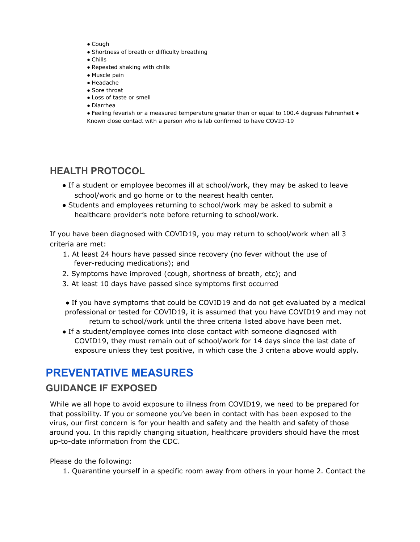- Cough
- Shortness of breath or difficulty breathing
- Chills
- Repeated shaking with chills
- Muscle pain
- Headache
- Sore throat
- Loss of taste or smell
- Diarrhea

● Feeling feverish or a measured temperature greater than or equal to 100.4 degrees Fahrenheit ● Known close contact with a person who is lab confirmed to have COVID-19

## **HEALTH PROTOCOL**

- If a student or employee becomes ill at school/work, they may be asked to leave school/work and go home or to the nearest health center.
- Students and employees returning to school/work may be asked to submit a healthcare provider's note before returning to school/work.

If you have been diagnosed with COVID19, you may return to school/work when all 3 criteria are met:

- 1. At least 24 hours have passed since recovery (no fever without the use of fever-reducing medications); and
- 2. Symptoms have improved (cough, shortness of breath, etc); and
- 3. At least 10 days have passed since symptoms first occurred
- If you have symptoms that could be COVID19 and do not get evaluated by a medical professional or tested for COVID19, it is assumed that you have COVID19 and may not return to school/work until the three criteria listed above have been met.
- If a student/employee comes into close contact with someone diagnosed with COVID19, they must remain out of school/work for 14 days since the last date of exposure unless they test positive, in which case the 3 criteria above would apply.

## **PREVENTATIVE MEASURES**

### **GUIDANCE IF EXPOSED**

While we all hope to avoid exposure to illness from COVID19, we need to be prepared for that possibility. If you or someone you've been in contact with has been exposed to the virus, our first concern is for your health and safety and the health and safety of those around you. In this rapidly changing situation, healthcare providers should have the most up-to-date information from the CDC.

Please do the following:

1. Quarantine yourself in a specific room away from others in your home 2. Contact the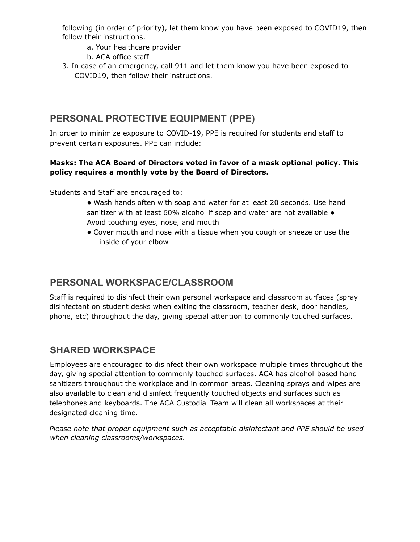following (in order of priority), let them know you have been exposed to COVID19, then follow their instructions.

- a. Your healthcare provider
- b. ACA office staff
- 3. In case of an emergency, call 911 and let them know you have been exposed to COVID19, then follow their instructions.

## **PERSONAL PROTECTIVE EQUIPMENT (PPE)**

In order to minimize exposure to COVID-19, PPE is required for students and staff to prevent certain exposures. PPE can include:

#### **Masks: The ACA Board of Directors voted in favor of a mask optional policy. This policy requires a monthly vote by the Board of Directors.**

Students and Staff are encouraged to:

● Wash hands often with soap and water for at least 20 seconds. Use hand sanitizer with at least 60% alcohol if soap and water are not available  $\bullet$ Avoid touching eyes, nose, and mouth

● Cover mouth and nose with a tissue when you cough or sneeze or use the inside of your elbow

## **PERSONAL WORKSPACE/CLASSROOM**

Staff is required to disinfect their own personal workspace and classroom surfaces (spray disinfectant on student desks when exiting the classroom, teacher desk, door handles, phone, etc) throughout the day, giving special attention to commonly touched surfaces.

## **SHARED WORKSPACE**

Employees are encouraged to disinfect their own workspace multiple times throughout the day, giving special attention to commonly touched surfaces. ACA has alcohol-based hand sanitizers throughout the workplace and in common areas. Cleaning sprays and wipes are also available to clean and disinfect frequently touched objects and surfaces such as telephones and keyboards. The ACA Custodial Team will clean all workspaces at their designated cleaning time.

*Please note that proper equipment such as acceptable disinfectant and PPE should be used when cleaning classrooms/workspaces.*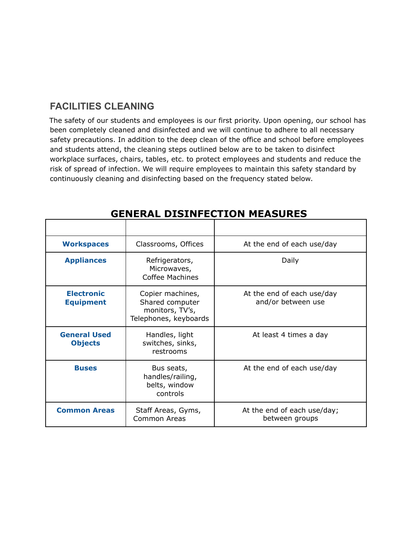## **FACILITIES CLEANING**

The safety of our students and employees is our first priority. Upon opening, our school has been completely cleaned and disinfected and we will continue to adhere to all necessary safety precautions. In addition to the deep clean of the office and school before employees and students attend, the cleaning steps outlined below are to be taken to disinfect workplace surfaces, chairs, tables, etc. to protect employees and students and reduce the risk of spread of infection. We will require employees to maintain this safety standard by continuously cleaning and disinfecting based on the frequency stated below.

| <b>Workspaces</b>                     | Classrooms, Offices                                                             | At the end of each use/day                       |
|---------------------------------------|---------------------------------------------------------------------------------|--------------------------------------------------|
| <b>Appliances</b>                     | Refrigerators,<br>Microwaves,<br><b>Coffee Machines</b>                         | Daily                                            |
| <b>Electronic</b><br><b>Equipment</b> | Copier machines,<br>Shared computer<br>monitors, TV's,<br>Telephones, keyboards | At the end of each use/day<br>and/or between use |
| <b>General Used</b><br><b>Objects</b> | Handles, light<br>switches, sinks,<br>restrooms                                 | At least 4 times a day                           |
| <b>Buses</b>                          | Bus seats,<br>handles/railing,<br>belts, window<br>controls                     | At the end of each use/day                       |
| <b>Common Areas</b>                   | Staff Areas, Gyms,<br>Common Areas                                              | At the end of each use/day;<br>between groups    |

## **GENERAL DISINFECTION MEASURES**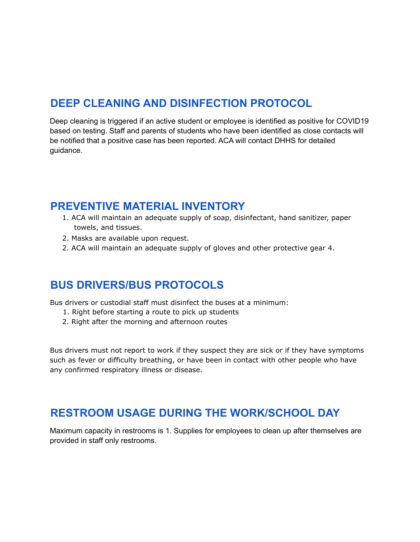# **DEEP CLEANING AND DISINFECTION PROTOCOL**

Deep cleaning is triggered if an active student or employee is identified as positive for COVID19 based on testing. Staff and parents of students who have been identified as close contacts will be notified that a positive case has been reported. ACA will contact DHHS for detailed guidance.

## **PREVENTIVE MATERIAL INVENTORY**

- 1. ACA will maintain an adequate supply of soap, disinfectant, hand sanitizer, paper towels, and tissues.
- 2. Masks are available upon request.
- 2. ACA will maintain an adequate supply of gloves and other protective gear 4.

# **BUS DRIVERS/BUS PROTOCOLS**

Bus drivers or custodial staff must disinfect the buses at a minimum:

- 1. Right before starting a route to pick up students
- 2. Right after the morning and afternoon routes

Bus drivers must not report to work if they suspect they are sick or if they have symptoms such as fever or difficulty breathing, or have been in contact with other people who have any confirmed respiratory illness or disease.

# **RESTROOM USAGE DURING THE WORK/SCHOOL DAY**

Maximum capacity in restrooms is 1. Supplies for employees to clean up after themselves are provided in staff only restrooms.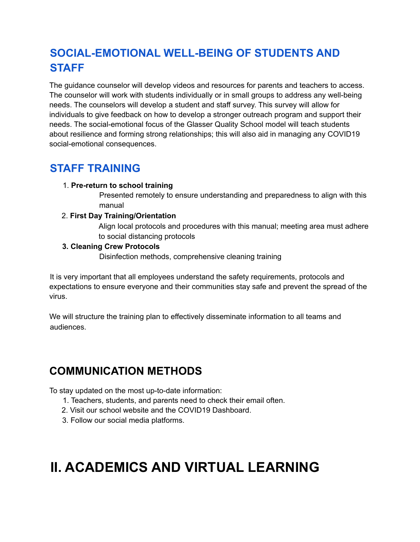# **SOCIAL-EMOTIONAL WELL-BEING OF STUDENTS AND STAFF**

The guidance counselor will develop videos and resources for parents and teachers to access. The counselor will work with students individually or in small groups to address any well-being needs. The counselors will develop a student and staff survey. This survey will allow for individuals to give feedback on how to develop a stronger outreach program and support their needs. The social-emotional focus of the Glasser Quality School model will teach students about resilience and forming strong relationships; this will also aid in managing any COVID19 social-emotional consequences.

# **STAFF TRAINING**

1. **Pre-return to school training**

Presented remotely to ensure understanding and preparedness to align with this manual

#### 2. **First Day Training/Orientation**

Align local protocols and procedures with this manual; meeting area must adhere to social distancing protocols

#### **3. Cleaning Crew Protocols**

Disinfection methods, comprehensive cleaning training

It is very important that all employees understand the safety requirements, protocols and expectations to ensure everyone and their communities stay safe and prevent the spread of the virus.

We will structure the training plan to effectively disseminate information to all teams and audiences.

# **COMMUNICATION METHODS**

To stay updated on the most up-to-date information:

- 1. Teachers, students, and parents need to check their email often.
- 2. Visit our school website and the COVID19 Dashboard.
- 3. Follow our social media platforms.

# **II. ACADEMICS AND VIRTUAL LEARNING**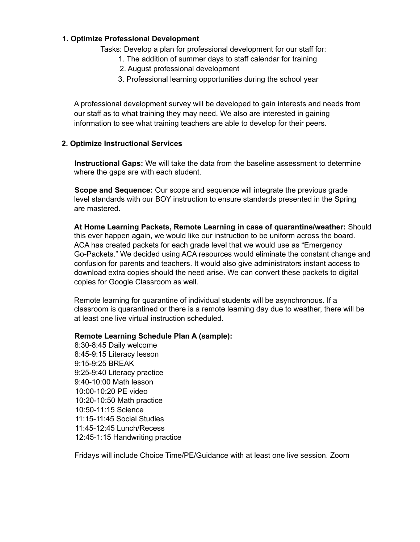#### **1. Optimize Professional Development**

Tasks: Develop a plan for professional development for our staff for:

- 1. The addition of summer days to staff calendar for training
- 2. August professional development
- 3. Professional learning opportunities during the school year

A professional development survey will be developed to gain interests and needs from our staff as to what training they may need. We also are interested in gaining information to see what training teachers are able to develop for their peers.

#### **2. Optimize Instructional Services**

**Instructional Gaps:** We will take the data from the baseline assessment to determine where the gaps are with each student.

**Scope and Sequence:** Our scope and sequence will integrate the previous grade level standards with our BOY instruction to ensure standards presented in the Spring are mastered.

**At Home Learning Packets, Remote Learning in case of quarantine/weather:** Should this ever happen again, we would like our instruction to be uniform across the board. ACA has created packets for each grade level that we would use as "Emergency Go-Packets." We decided using ACA resources would eliminate the constant change and confusion for parents and teachers. It would also give administrators instant access to download extra copies should the need arise. We can convert these packets to digital copies for Google Classroom as well.

Remote learning for quarantine of individual students will be asynchronous. If a classroom is quarantined or there is a remote learning day due to weather, there will be at least one live virtual instruction scheduled.

#### **Remote Learning Schedule Plan A (sample):**

8:30-8:45 Daily welcome 8:45-9:15 Literacy lesson 9:15-9:25 BREAK 9:25-9:40 Literacy practice 9:40-10:00 Math lesson 10:00-10:20 PE video 10:20-10:50 Math practice 10:50-11:15 Science 11:15-11:45 Social Studies 11:45-12:45 Lunch/Recess 12:45-1:15 Handwriting practice

Fridays will include Choice Time/PE/Guidance with at least one live session. Zoom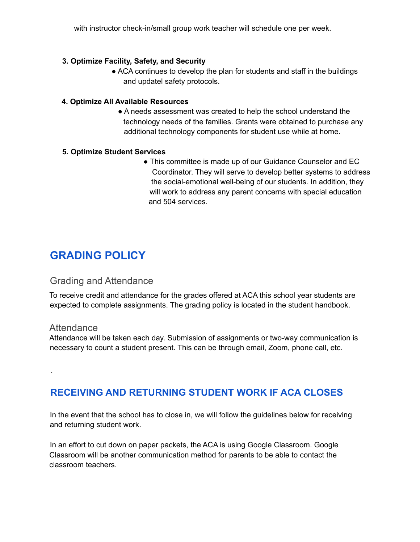with instructor check-in/small group work teacher will schedule one per week.

#### **3. Optimize Facility, Safety, and Security**

• ACA continues to develop the plan for students and staff in the buildings and updatel safety protocols.

#### **4. Optimize All Available Resources**

• A needs assessment was created to help the school understand the technology needs of the families. Grants were obtained to purchase any additional technology components for student use while at home.

#### **5. Optimize Student Services**

• This committee is made up of our Guidance Counselor and EC Coordinator. They will serve to develop better systems to address the social-emotional well-being of our students. In addition, they will work to address any parent concerns with special education and 504 services.

# **GRADING POLICY**

#### Grading and Attendance

To receive credit and attendance for the grades offered at ACA this school year students are expected to complete assignments. The grading policy is located in the student handbook.

#### **Attendance**

.

Attendance will be taken each day. Submission of assignments or two-way communication is necessary to count a student present. This can be through email, Zoom, phone call, etc.

## **RECEIVING AND RETURNING STUDENT WORK IF ACA CLOSES**

In the event that the school has to close in, we will follow the guidelines below for receiving and returning student work.

In an effort to cut down on paper packets, the ACA is using Google Classroom. Google Classroom will be another communication method for parents to be able to contact the classroom teachers.